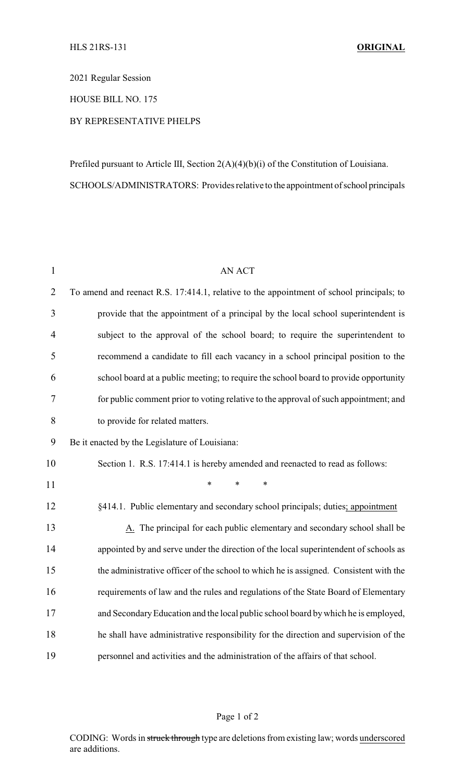2021 Regular Session

HOUSE BILL NO. 175

## BY REPRESENTATIVE PHELPS

Prefiled pursuant to Article III, Section 2(A)(4)(b)(i) of the Constitution of Louisiana. SCHOOLS/ADMINISTRATORS: Provides relative to the appointment of school principals

| $\mathbf{1}$   | <b>AN ACT</b>                                                                            |
|----------------|------------------------------------------------------------------------------------------|
| $\overline{2}$ | To amend and reenact R.S. 17:414.1, relative to the appointment of school principals; to |
| 3              | provide that the appointment of a principal by the local school superintendent is        |
| $\overline{4}$ | subject to the approval of the school board; to require the superintendent to            |
| 5              | recommend a candidate to fill each vacancy in a school principal position to the         |
| 6              | school board at a public meeting; to require the school board to provide opportunity     |
| 7              | for public comment prior to voting relative to the approval of such appointment; and     |
| $8\,$          | to provide for related matters.                                                          |
| 9              | Be it enacted by the Legislature of Louisiana:                                           |
| 10             | Section 1. R.S. 17:414.1 is hereby amended and reenacted to read as follows:             |
| 11             | $\ast$<br>$\ast$<br>$\ast$                                                               |
| 12             | §414.1. Public elementary and secondary school principals; duties; appointment           |
| 13             | A. The principal for each public elementary and secondary school shall be                |
| 14             | appointed by and serve under the direction of the local superintendent of schools as     |
| 15             | the administrative officer of the school to which he is assigned. Consistent with the    |
| 16             | requirements of law and the rules and regulations of the State Board of Elementary       |
| 17             | and Secondary Education and the local public school board by which he is employed,       |
| 18             | he shall have administrative responsibility for the direction and supervision of the     |
| 19             | personnel and activities and the administration of the affairs of that school.           |

## Page 1 of 2

CODING: Words in struck through type are deletions from existing law; words underscored are additions.